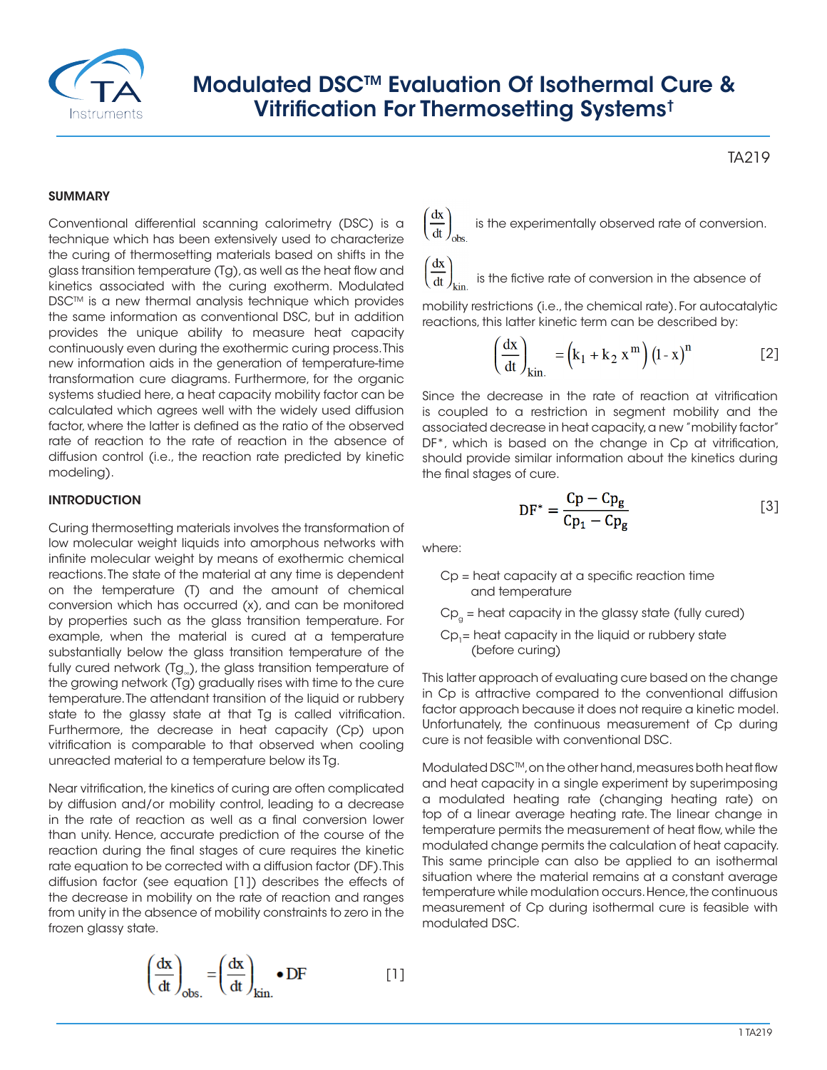

## Modulated DSCTM Evaluation Of Isothermal Cure & Vitrification For Thermosetting Systems†

### **SUMMARY**

Conventional differential scanning calorimetry (DSC) is a technique which has been extensively used to characterize the curing of thermosetting materials based on shifts in the glass transition temperature (Tg), as well as the heat flow and kinetics associated with the curing exotherm. Modulated DSC<sup>™</sup> is a new thermal analysis technique which provides the same information as conventional DSC, but in addition provides the unique ability to measure heat capacity continuously even during the exothermic curing process. This new information aids in the generation of temperature-time transformation cure diagrams. Furthermore, for the organic systems studied here, a heat capacity mobility factor can be calculated which agrees well with the widely used diffusion factor, where the latter is defined as the ratio of the observed rate of reaction to the rate of reaction in the absence of diffusion control (i.e., the reaction rate predicted by kinetic modeling).

### **INTRODUCTION**

Curing thermosetting materials involves the transformation of low molecular weight liquids into amorphous networks with infinite molecular weight by means of exothermic chemical reactions. The state of the material at any time is dependent on the temperature (T) and the amount of chemical conversion which has occurred (x), and can be monitored by properties such as the glass transition temperature. For example, when the material is cured at a temperature substantially below the glass transition temperature of the fully cured network (Tg<sub>∞</sub>), the glass transition temperature of the growing network (Tg) gradually rises with time to the cure temperature. The attendant transition of the liquid or rubbery state to the glassy state at that Tg is called vitrification. Furthermore, the decrease in heat capacity (Cp) upon vitrification is comparable to that observed when cooling unreacted material to a temperature below its Tg.

Near vitrification, the kinetics of curing are often complicated by diffusion and/or mobility control, leading to a decrease in the rate of reaction as well as a final conversion lower than unity. Hence, accurate prediction of the course of the reaction during the final stages of cure requires the kinetic rate equation to be corrected with a diffusion factor (DF). This diffusion factor (see equation [1]) describes the effects of the decrease in mobility on the rate of reaction and ranges from unity in the absence of mobility constraints to zero in the frozen glassy state.

$$
\left(\frac{dx}{dt}\right)_{obs.} = \left(\frac{dx}{dt}\right)_{kin.} \bullet DF
$$
 [1]

TA219

is the experimentally observed rate of conversion.

# $\left(\frac{dx}{dt}\right)_{\text{kin.}}$  is the fictive rate of conversion in the absence of

mobility restrictions (i.e., the chemical rate). For autocatalytic reactions, this latter kinetic term can be described by:

$$
\left(\frac{dx}{dt}\right)_{kin.} = \left(k_1 + k_2 x^m\right) \left(1 - x\right)^n \tag{2}
$$

Since the decrease in the rate of reaction at vitrification is coupled to a restriction in segment mobility and the associated decrease in heat capacity, a new "mobility factor" DF<sup>\*</sup>, which is based on the change in Cp at vitrification, should provide similar information about the kinetics during the final stages of cure.

$$
DF^* = \frac{Cp - Cp_g}{Cp_1 - Cp_g} \tag{3}
$$

where:

- Cp = heat capacity at a specific reaction time and temperature
- $Cp<sub>a</sub>$  = heat capacity in the glassy state (fully cured)
- $Cp<sub>1</sub>=$  heat capacity in the liquid or rubbery state (before curing)

This latter approach of evaluating cure based on the change in Cp is attractive compared to the conventional diffusion factor approach because it does not require a kinetic model. Unfortunately, the continuous measurement of Cp during cure is not feasible with conventional DSC.

Modulated DSC™, on the other hand, measures both heat flow and heat capacity in a single experiment by superimposing a modulated heating rate (changing heating rate) on top of a linear average heating rate. The linear change in temperature permits the measurement of heat flow, while the modulated change permits the calculation of heat capacity. This same principle can also be applied to an isothermal situation where the material remains at a constant average temperature while modulation occurs. Hence, the continuous measurement of Cp during isothermal cure is feasible with modulated DSC.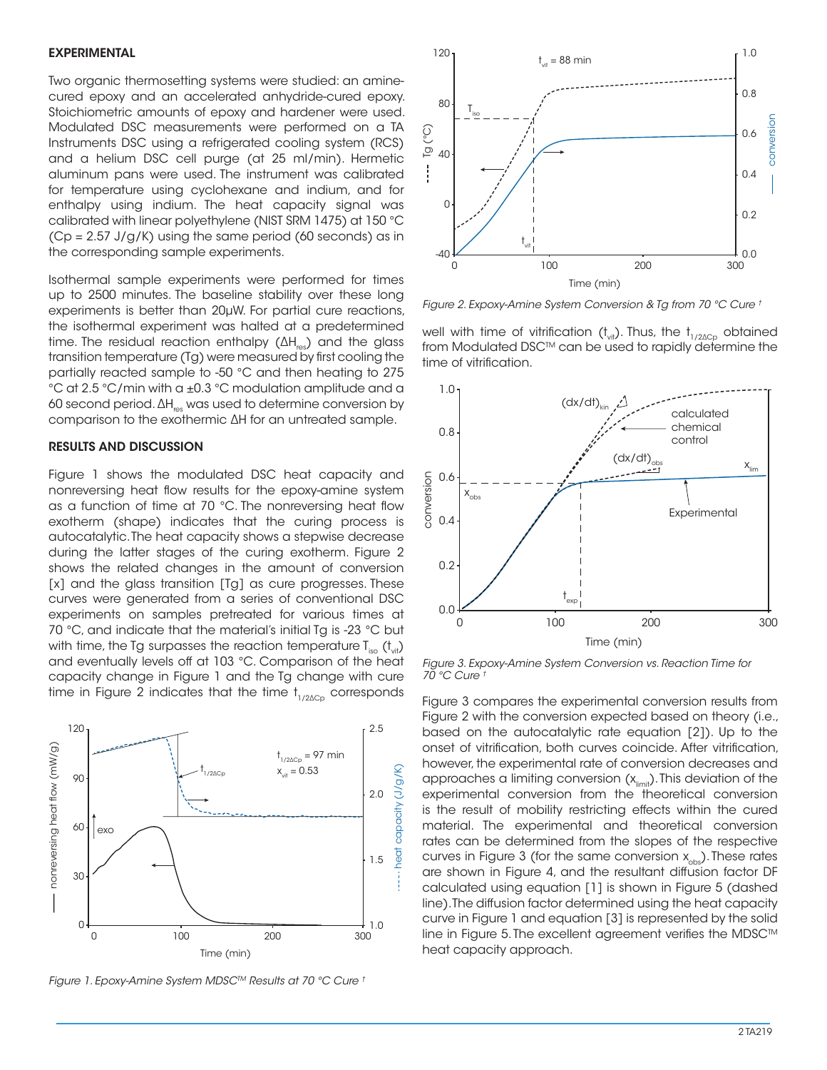#### EXPERIMENTAL

Two organic thermosetting systems were studied: an aminecured epoxy and an accelerated anhydride-cured epoxy. Stoichiometric amounts of epoxy and hardener were used. Modulated DSC measurements were performed on a TA Instruments DSC using a refrigerated cooling system (RCS) and a helium DSC cell purge (at 25 ml/min). Hermetic aluminum pans were used. The instrument was calibrated for temperature using cyclohexane and indium, and for enthalpy using indium. The heat capacity signal was calibrated with linear polyethylene (NIST SRM 1475) at 150 °C  $(Cp = 2.57 J/g/K)$  using the same period (60 seconds) as in the corresponding sample experiments.

Isothermal sample experiments were performed for times up to 2500 minutes. The baseline stability over these long experiments is better than 20μW. For partial cure reactions, the isothermal experiment was halted at a predetermined time. The residual reaction enthalpy (ΔH<sub>res</sub>) and the glass transition temperature (Tg) were measured by first cooling the partially reacted sample to -50 °C and then heating to 275 °C at 2.5 °C/min with a ±0.3 °C modulation amplitude and a 60 second period. ∆H<sub>res</sub> was used to determine conversion by comparison to the exothermic ∆H for an untreated sample.

### RESULTS AND DISCUSSION

Figure 1 shows the modulated DSC heat capacity and nonreversing heat flow results for the epoxy-amine system as a function of time at 70 °C. The nonreversing heat flow exotherm (shape) indicates that the curing process is autocatalytic. The heat capacity shows a stepwise decrease during the latter stages of the curing exotherm. Figure 2 shows the related changes in the amount of conversion [x] and the glass transition [Tg] as cure progresses. These curves were generated from a series of conventional DSC experiments on samples pretreated for various times at 70 °C, and indicate that the material's initial Tg is -23 °C but with time, the Tg surpasses the reaction temperature  $T_{iso}$  ( $t_{vit}$ ) and eventually levels off at 103 °C. Comparison of the heat capacity change in Figure 1 and the Tg change with cure time in Figure 2 indicates that the time  $t_{1/2\Delta Cp}$  corresponds



*Figure 1. Epoxy-Amine System MDSCTM Results at 70 °C Cure †*



*Figure 2. Expoxy-Amine System Conversion & Tg from 70 °C Cure †*

well with time of vitrification ( $t_{\text{vir}}$ ). Thus, the  $t_{1/2\Delta Cp}$  obtained from Modulated DSC™ can be used to rapidly determine the time of vitrification.



*Figure 3. Expoxy-Amine System Conversion vs. Reaction Time for 70 °C Cure †*

Figure 3 compares the experimental conversion results from Figure 2 with the conversion expected based on theory (i.e., based on the autocatalytic rate equation [2]). Up to the onset of vitrification, both curves coincide. After vitrification, however, the experimental rate of conversion decreases and approaches a limiting conversion  $(x_{\text{limit}})$ . This deviation of the experimental conversion from the theoretical conversion is the result of mobility restricting effects within the cured material. The experimental and theoretical conversion rates can be determined from the slopes of the respective curves in Figure 3 (for the same conversion  $x_{obs}$ ). These rates are shown in Figure 4, and the resultant diffusion factor DF calculated using equation [1] is shown in Figure 5 (dashed line). The diffusion factor determined using the heat capacity curve in Figure 1 and equation [3] is represented by the solid line in Figure 5. The excellent agreement verifies the MDSC<sup>™</sup>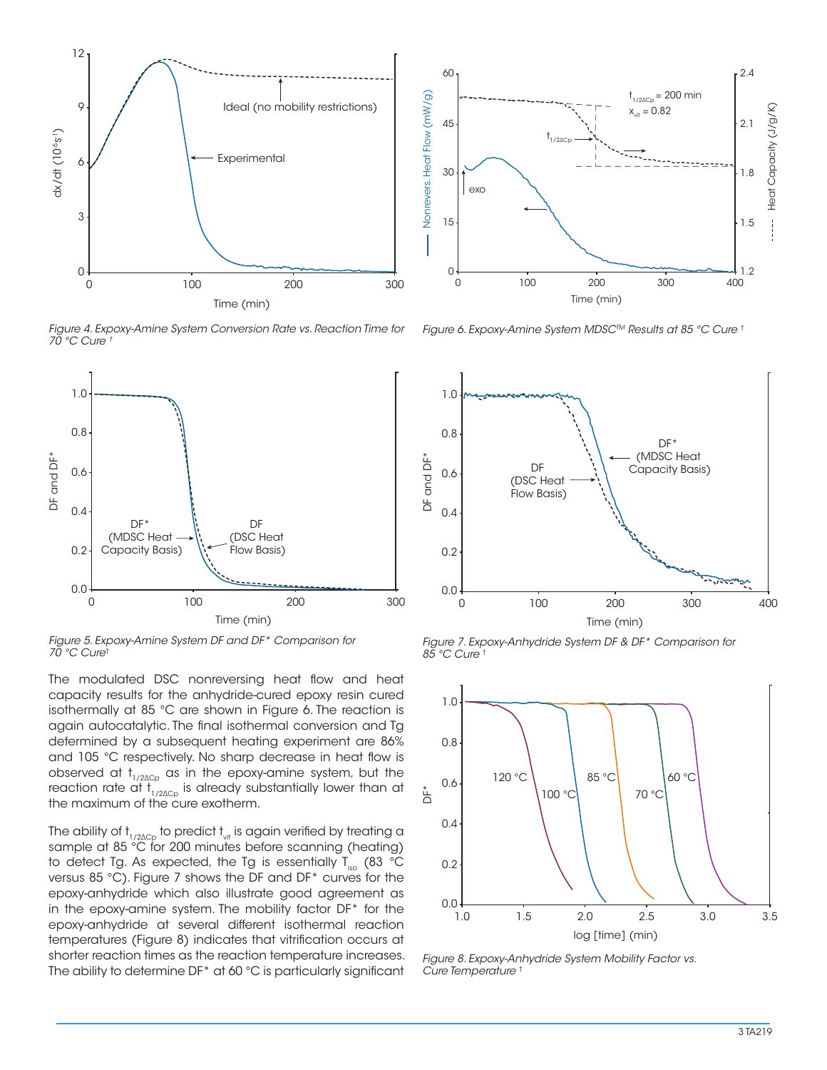

*Figure 4. Expoxy-Amine System Conversion Rate vs. Reaction Time for 70 °C Cure †*



*Figure 5. Expoxy-Amine System DF and DF\* Comparison for 70 °C Cure*†

The modulated DSC nonreversing heat flow and heat capacity results for the anhydride-cured epoxy resin cured isothermally at 85 °C are shown in Figure 6. The reaction is again autocatalytic. The final isothermal conversion and Tg determined by a subsequent heating experiment are 86% and 105 °C respectively. No sharp decrease in heat flow is observed at  $t_{1/2\Delta Cp}$  as in the epoxy-amine system, but the reaction rate at  $t_{1/2\Delta Cp}$  is already substantially lower than at the maximum of the cure exotherm.

The ability of t $_{\rm 1/2\Delta Cp}$  to predict  ${\rm t_{\rm vir}}$  is again verified by treating a sample at 85 °C for 200 minutes before scanning (heating) to detect Tg. As expected, the Tg is essentially T<sub>iso</sub> (83 °C versus 85 °C). Figure 7 shows the DF and DF\* curves for the epoxy-anhydride which also illustrate good agreement as in the epoxy-amine system. The mobility factor DF\* for the epoxy-anhydride at several different isothermal reaction temperatures (Figure 8) indicates that vitrification occurs at shorter reaction times as the reaction temperature increases. The ability to determine DF\* at 60 °C is particularly significant



*Figure 6. Expoxy-Amine System MDSCTM Results at 85 °C Cure* †



*Figure 7. Expoxy-Anhydride System DF & DF\* Comparison for 85 °C Cure* †



*Figure 8. Expoxy-Anhydride System Mobility Factor vs. Cure Temperature* †